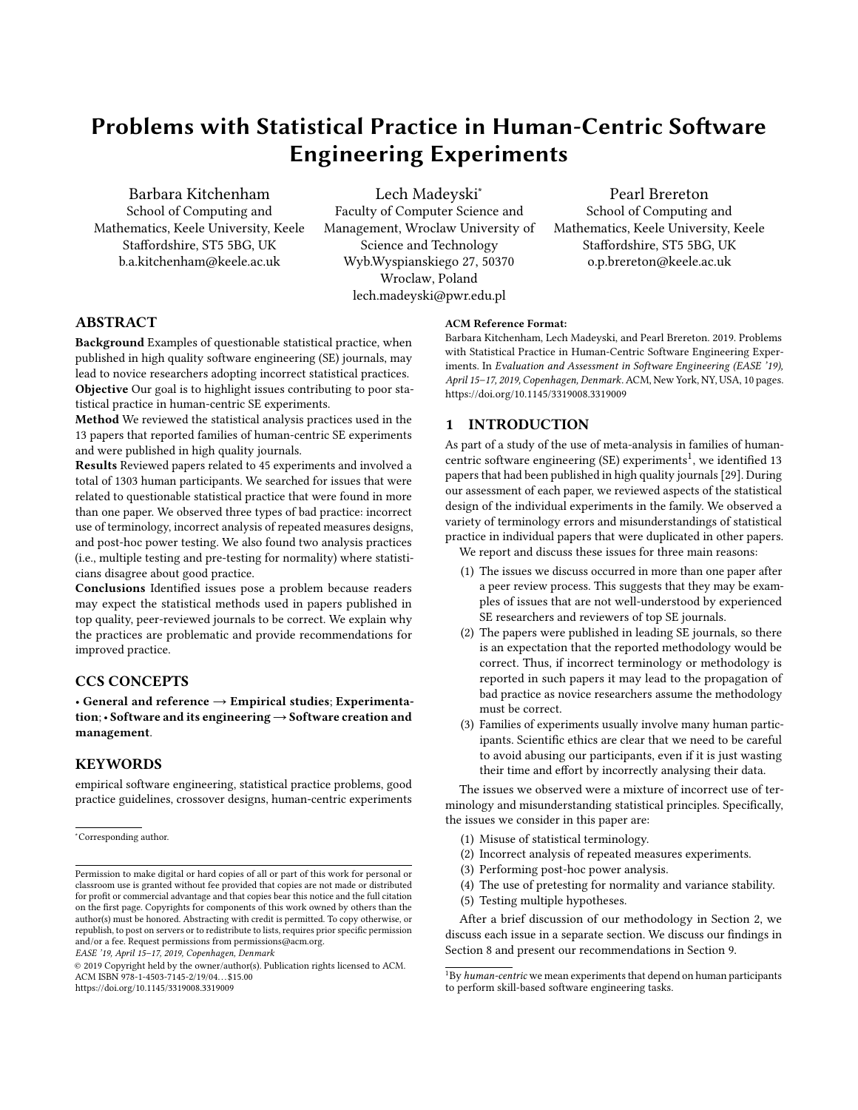# Problems with Statistical Practice in Human-Centric Software Engineering Experiments

Barbara Kitchenham School of Computing and Mathematics, Keele University, Keele Staffordshire, ST5 5BG, UK b.a.kitchenham@keele.ac.uk

Lech Madeyski<sup>∗</sup> Faculty of Computer Science and Management, Wroclaw University of Science and Technology Wyb.Wyspianskiego 27, 50370 Wroclaw, Poland lech.madeyski@pwr.edu.pl

Pearl Brereton School of Computing and Mathematics, Keele University, Keele Staffordshire, ST5 5BG, UK o.p.brereton@keele.ac.uk

# ABSTRACT

Background Examples of questionable statistical practice, when published in high quality software engineering (SE) journals, may lead to novice researchers adopting incorrect statistical practices. Objective Our goal is to highlight issues contributing to poor sta-

tistical practice in human-centric SE experiments.

Method We reviewed the statistical analysis practices used in the 13 papers that reported families of human-centric SE experiments and were published in high quality journals.

Results Reviewed papers related to 45 experiments and involved a total of 1303 human participants. We searched for issues that were related to questionable statistical practice that were found in more than one paper. We observed three types of bad practice: incorrect use of terminology, incorrect analysis of repeated measures designs, and post-hoc power testing. We also found two analysis practices (i.e., multiple testing and pre-testing for normality) where statisticians disagree about good practice.

Conclusions Identified issues pose a problem because readers may expect the statistical methods used in papers published in top quality, peer-reviewed journals to be correct. We explain why the practices are problematic and provide recommendations for improved practice.

# CCS CONCEPTS

• General and reference  $\rightarrow$  Empirical studies; Experimentation; • Software and its engineering→Software creation and management.

# KEYWORDS

empirical software engineering, statistical practice problems, good practice guidelines, crossover designs, human-centric experiments

EASE '19, April 15–17, 2019, Copenhagen, Denmark

#### ACM Reference Format:

Barbara Kitchenham, Lech Madeyski, and Pearl Brereton. 2019. Problems with Statistical Practice in Human-Centric Software Engineering Experiments. In Evaluation and Assessment in Software Engineering (EASE '19), April 15–17, 2019, Copenhagen, Denmark. ACM, New York, NY, USA, [10](#page-9-0) pages. <https://doi.org/10.1145/3319008.3319009>

# 1 INTRODUCTION

As part of a study of the use of meta-analysis in families of human-centric software engineering (SE) experiments<sup>[1](#page-0-0)</sup>, we identified 13 papers that had been published in high quality journals [\[29\]](#page-8-0). During our assessment of each paper, we reviewed aspects of the statistical design of the individual experiments in the family. We observed a variety of terminology errors and misunderstandings of statistical practice in individual papers that were duplicated in other papers.

We report and discuss these issues for three main reasons:

- (1) The issues we discuss occurred in more than one paper after a peer review process. This suggests that they may be examples of issues that are not well-understood by experienced SE researchers and reviewers of top SE journals.
- (2) The papers were published in leading SE journals, so there is an expectation that the reported methodology would be correct. Thus, if incorrect terminology or methodology is reported in such papers it may lead to the propagation of bad practice as novice researchers assume the methodology must be correct.
- (3) Families of experiments usually involve many human participants. Scientific ethics are clear that we need to be careful to avoid abusing our participants, even if it is just wasting their time and effort by incorrectly analysing their data.

The issues we observed were a mixture of incorrect use of terminology and misunderstanding statistical principles. Specifically, the issues we consider in this paper are:

- (1) Misuse of statistical terminology.
- (2) Incorrect analysis of repeated measures experiments.
- (3) Performing post-hoc power analysis.
- (4) The use of pretesting for normality and variance stability.
- (5) Testing multiple hypotheses.

After a brief discussion of our methodology in Section [2,](#page-1-0) we discuss each issue in a separate section. We discuss our findings in Section [8](#page-6-0) and present our recommendations in Section [9.](#page-7-0)

<sup>∗</sup>Corresponding author.

Permission to make digital or hard copies of all or part of this work for personal or classroom use is granted without fee provided that copies are not made or distributed for profit or commercial advantage and that copies bear this notice and the full citation on the first page. Copyrights for components of this work owned by others than the author(s) must be honored. Abstracting with credit is permitted. To copy otherwise, or republish, to post on servers or to redistribute to lists, requires prior specific permission and/or a fee. Request permissions from permissions@acm.org.

<sup>©</sup> 2019 Copyright held by the owner/author(s). Publication rights licensed to ACM. ACM ISBN 978-1-4503-7145-2/19/04. . . \$15.00 <https://doi.org/10.1145/3319008.3319009>

<span id="page-0-0"></span> $1By$  human-centric we mean experiments that depend on human participants to perform skill-based software engineering tasks.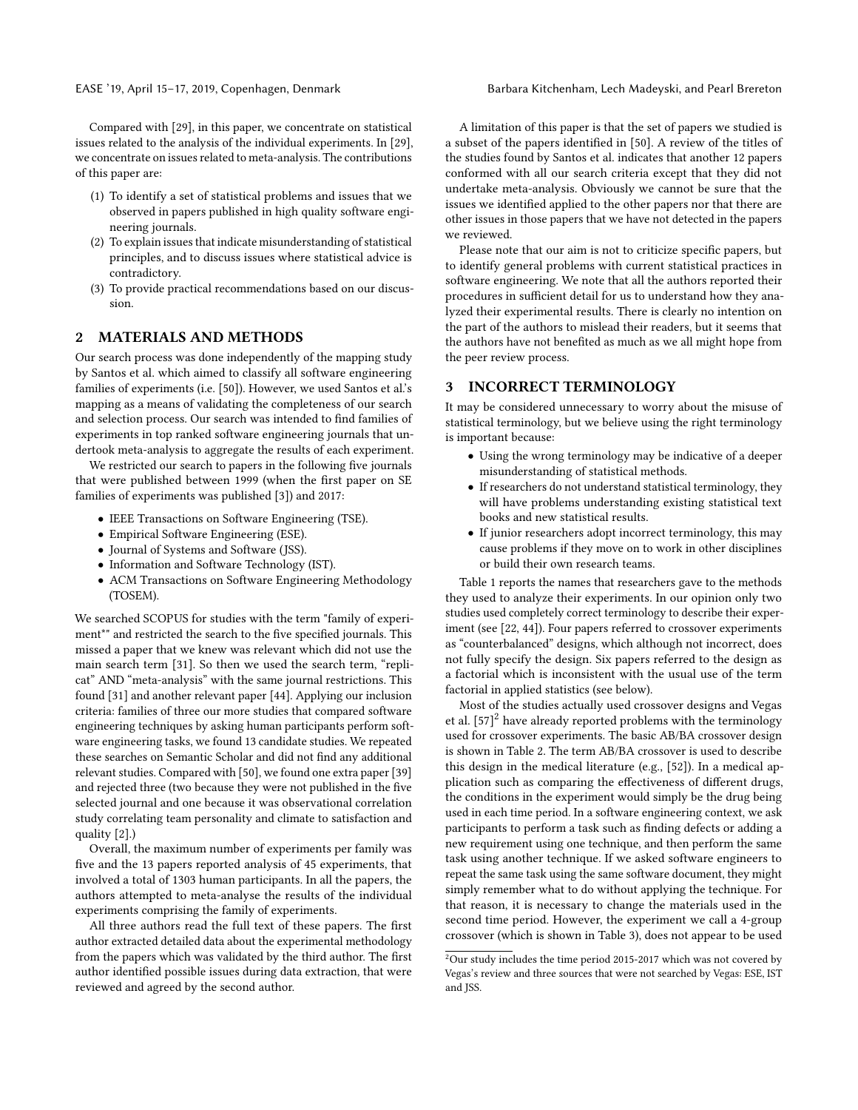Compared with [\[29\]](#page-8-0), in this paper, we concentrate on statistical issues related to the analysis of the individual experiments. In [\[29\]](#page-8-0), we concentrate on issues related to meta-analysis. The contributions of this paper are:

- (1) To identify a set of statistical problems and issues that we observed in papers published in high quality software engineering journals.
- (2) To explain issues that indicate misunderstanding of statistical principles, and to discuss issues where statistical advice is contradictory.
- (3) To provide practical recommendations based on our discussion.

## <span id="page-1-0"></span>2 MATERIALS AND METHODS

Our search process was done independently of the mapping study by Santos et al. which aimed to classify all software engineering families of experiments (i.e. [\[50\]](#page-8-1)). However, we used Santos et al.'s mapping as a means of validating the completeness of our search and selection process. Our search was intended to find families of experiments in top ranked software engineering journals that undertook meta-analysis to aggregate the results of each experiment.

We restricted our search to papers in the following five journals that were published between 1999 (when the first paper on SE families of experiments was published [\[3\]](#page-7-1)) and 2017:

- IEEE Transactions on Software Engineering (TSE).
- Empirical Software Engineering (ESE).
- Journal of Systems and Software (JSS).
- Information and Software Technology (IST).
- ACM Transactions on Software Engineering Methodology (TOSEM).

We searched SCOPUS for studies with the term "family of experiment\*" and restricted the search to the five specified journals. This missed a paper that we knew was relevant which did not use the main search term [\[31\]](#page-8-2). So then we used the search term, "replicat" AND "meta-analysis" with the same journal restrictions. This found [\[31\]](#page-8-2) and another relevant paper [\[44\]](#page-8-3). Applying our inclusion criteria: families of three our more studies that compared software engineering techniques by asking human participants perform software engineering tasks, we found 13 candidate studies. We repeated these searches on Semantic Scholar and did not find any additional relevant studies. Compared with [\[50\]](#page-8-1), we found one extra paper [\[39\]](#page-8-4) and rejected three (two because they were not published in the five selected journal and one because it was observational correlation study correlating team personality and climate to satisfaction and quality [\[2\]](#page-7-2).)

Overall, the maximum number of experiments per family was five and the 13 papers reported analysis of 45 experiments, that involved a total of 1303 human participants. In all the papers, the authors attempted to meta-analyse the results of the individual experiments comprising the family of experiments.

All three authors read the full text of these papers. The first author extracted detailed data about the experimental methodology from the papers which was validated by the third author. The first author identified possible issues during data extraction, that were reviewed and agreed by the second author.

A limitation of this paper is that the set of papers we studied is a subset of the papers identified in [\[50\]](#page-8-1). A review of the titles of the studies found by Santos et al. indicates that another 12 papers conformed with all our search criteria except that they did not undertake meta-analysis. Obviously we cannot be sure that the issues we identified applied to the other papers nor that there are other issues in those papers that we have not detected in the papers we reviewed.

Please note that our aim is not to criticize specific papers, but to identify general problems with current statistical practices in software engineering. We note that all the authors reported their procedures in sufficient detail for us to understand how they analyzed their experimental results. There is clearly no intention on the part of the authors to mislead their readers, but it seems that the authors have not benefited as much as we all might hope from the peer review process.

#### 3 INCORRECT TERMINOLOGY

It may be considered unnecessary to worry about the misuse of statistical terminology, but we believe using the right terminology is important because:

- Using the wrong terminology may be indicative of a deeper misunderstanding of statistical methods.
- If researchers do not understand statistical terminology, they will have problems understanding existing statistical text books and new statistical results.
- If junior researchers adopt incorrect terminology, this may cause problems if they move on to work in other disciplines or build their own research teams.

Table [1](#page-2-0) reports the names that researchers gave to the methods they used to analyze their experiments. In our opinion only two studies used completely correct terminology to describe their experiment (see [\[22,](#page-8-5) [44\]](#page-8-3)). Four papers referred to crossover experiments as "counterbalanced" designs, which although not incorrect, does not fully specify the design. Six papers referred to the design as a factorial which is inconsistent with the usual use of the term factorial in applied statistics (see below).

Most of the studies actually used crossover designs and Vegas et al.  $[57]^2$  $[57]^2$  $[57]^2$  have already reported problems with the terminology used for crossover experiments. The basic AB/BA crossover design is shown in Table [2.](#page-2-1) The term AB/BA crossover is used to describe this design in the medical literature (e.g., [\[52\]](#page-8-7)). In a medical application such as comparing the effectiveness of different drugs, the conditions in the experiment would simply be the drug being used in each time period. In a software engineering context, we ask participants to perform a task such as finding defects or adding a new requirement using one technique, and then perform the same task using another technique. If we asked software engineers to repeat the same task using the same software document, they might simply remember what to do without applying the technique. For that reason, it is necessary to change the materials used in the second time period. However, the experiment we call a 4-group crossover (which is shown in Table [3\)](#page-2-2), does not appear to be used

<span id="page-1-1"></span><sup>2</sup>Our study includes the time period 2015-2017 which was not covered by Vegas's review and three sources that were not searched by Vegas: ESE, IST and JSS.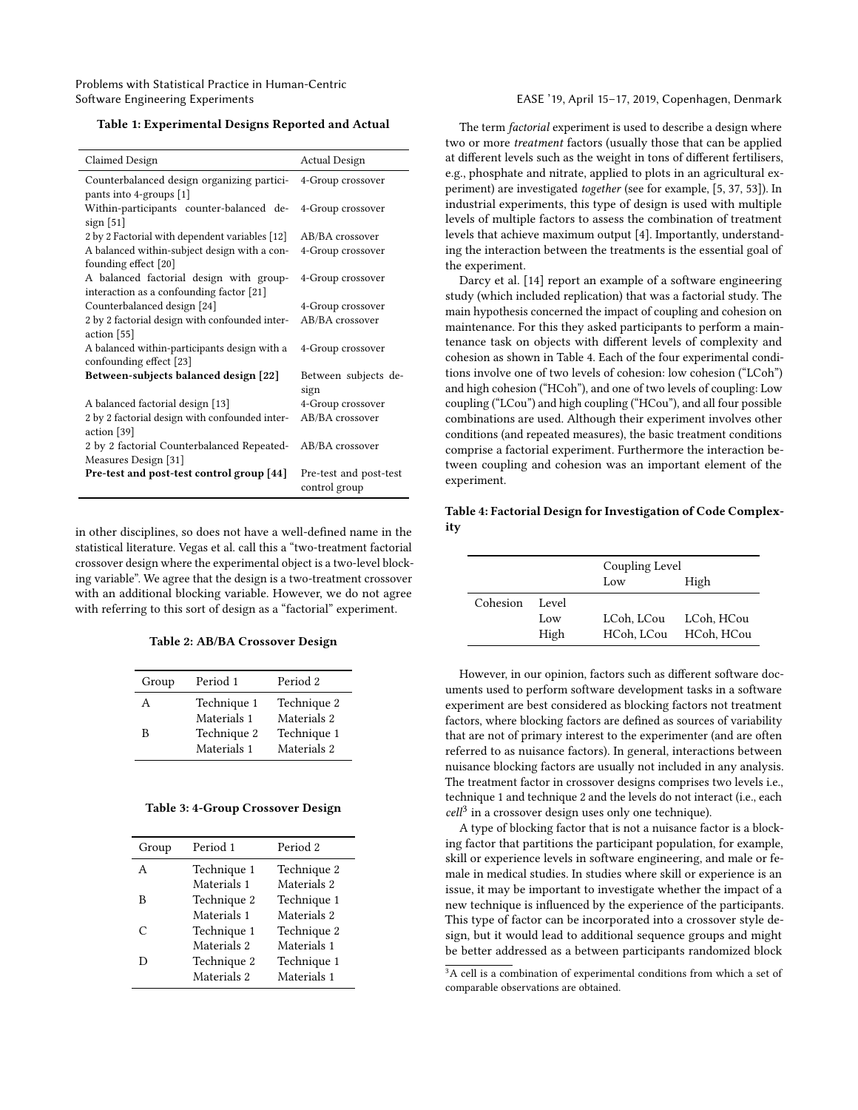#### <span id="page-2-0"></span>Table 1: Experimental Designs Reported and Actual

| Claimed Design                                 | <b>Actual Design</b>   |  |  |
|------------------------------------------------|------------------------|--|--|
| Counterbalanced design organizing partici-     | 4-Group crossover      |  |  |
| pants into 4-groups [1]                        |                        |  |  |
| Within-participants counter-balanced de-       | 4-Group crossover      |  |  |
| sign $[51]$                                    |                        |  |  |
| 2 by 2 Factorial with dependent variables [12] | AB/BA crossover        |  |  |
| A balanced within-subject design with a con-   | 4-Group crossover      |  |  |
| founding effect [20]                           |                        |  |  |
| A balanced factorial design with group-        | 4-Group crossover      |  |  |
| interaction as a confounding factor [21]       |                        |  |  |
| Counterbalanced design [24]                    | 4-Group crossover      |  |  |
| 2 by 2 factorial design with confounded inter- | AB/BA crossover        |  |  |
| action [55]                                    |                        |  |  |
| A balanced within-participants design with a   | 4-Group crossover      |  |  |
| confounding effect [23]                        |                        |  |  |
| Between-subjects balanced design [22]          | Between subjects de-   |  |  |
|                                                | sign                   |  |  |
| A balanced factorial design [13]               | 4-Group crossover      |  |  |
| 2 by 2 factorial design with confounded inter- | AB/BA crossover        |  |  |
| action [39]                                    |                        |  |  |
| 2 by 2 factorial Counterbalanced Repeated-     | AB/BA crossover        |  |  |
| Measures Design [31]                           |                        |  |  |
| Pre-test and post-test control group [44]      | Pre-test and post-test |  |  |
|                                                | control group          |  |  |

in other disciplines, so does not have a well-defined name in the statistical literature. Vegas et al. call this a "two-treatment factorial crossover design where the experimental object is a two-level blocking variable". We agree that the design is a two-treatment crossover with an additional blocking variable. However, we do not agree with referring to this sort of design as a "factorial" experiment.

#### Table 2: AB/BA Crossover Design

<span id="page-2-1"></span>

| Group | Period 1                   | Period 2                   |
|-------|----------------------------|----------------------------|
| А     | Technique 1<br>Materials 1 | Technique 2<br>Materials 2 |
| R     | Technique 2<br>Materials 1 | Technique 1<br>Materials 2 |

#### <span id="page-2-2"></span>Table 3: 4-Group Crossover Design

| Group | Period 1    | Period 2    |
|-------|-------------|-------------|
| A     | Technique 1 | Technique 2 |
|       | Materials 1 | Materials 2 |
| в     | Technique 2 | Technique 1 |
|       | Materials 1 | Materials 2 |
| C     | Technique 1 | Technique 2 |
|       | Materials 2 | Materials 1 |
| Ð     | Technique 2 | Technique 1 |
|       | Materials 2 | Materials 1 |

The term factorial experiment is used to describe a design where two or more treatment factors (usually those that can be applied at different levels such as the weight in tons of different fertilisers, e.g., phosphate and nitrate, applied to plots in an agricultural experiment) are investigated together (see for example, [\[5,](#page-7-4) [37,](#page-8-16) [53\]](#page-8-17)). In industrial experiments, this type of design is used with multiple levels of multiple factors to assess the combination of treatment levels that achieve maximum output [\[4\]](#page-7-5). Importantly, understanding the interaction between the treatments is the essential goal of the experiment.

Darcy et al. [\[14\]](#page-8-18) report an example of a software engineering study (which included replication) that was a factorial study. The main hypothesis concerned the impact of coupling and cohesion on maintenance. For this they asked participants to perform a maintenance task on objects with different levels of complexity and cohesion as shown in Table [4.](#page-2-3) Each of the four experimental conditions involve one of two levels of cohesion: low cohesion ("LCoh") and high cohesion ("HCoh"), and one of two levels of coupling: Low coupling ("LCou") and high coupling ("HCou"), and all four possible combinations are used. Although their experiment involves other conditions (and repeated measures), the basic treatment conditions comprise a factorial experiment. Furthermore the interaction between coupling and cohesion was an important element of the experiment.

#### <span id="page-2-3"></span>Table 4: Factorial Design for Investigation of Code Complexity

|          |                      | Coupling Level<br>High<br>Low |                          |  |
|----------|----------------------|-------------------------------|--------------------------|--|
| Cohesion | Level<br>Low<br>High | LCoh, LCou<br>HCoh, LCou      | LCoh, HCou<br>HCoh, HCou |  |

However, in our opinion, factors such as different software documents used to perform software development tasks in a software experiment are best considered as blocking factors not treatment factors, where blocking factors are defined as sources of variability that are not of primary interest to the experimenter (and are often referred to as nuisance factors). In general, interactions between nuisance blocking factors are usually not included in any analysis. The treatment factor in crossover designs comprises two levels i.e., technique 1 and technique 2 and the levels do not interact (i.e., each  $cell<sup>3</sup>$  $cell<sup>3</sup>$  $cell<sup>3</sup>$  in a crossover design uses only one technique).

A type of blocking factor that is not a nuisance factor is a blocking factor that partitions the participant population, for example, skill or experience levels in software engineering, and male or female in medical studies. In studies where skill or experience is an issue, it may be important to investigate whether the impact of a new technique is influenced by the experience of the participants. This type of factor can be incorporated into a crossover style design, but it would lead to additional sequence groups and might be better addressed as a between participants randomized block

<span id="page-2-4"></span><sup>&</sup>lt;sup>3</sup>A cell is a combination of experimental conditions from which a set of comparable observations are obtained.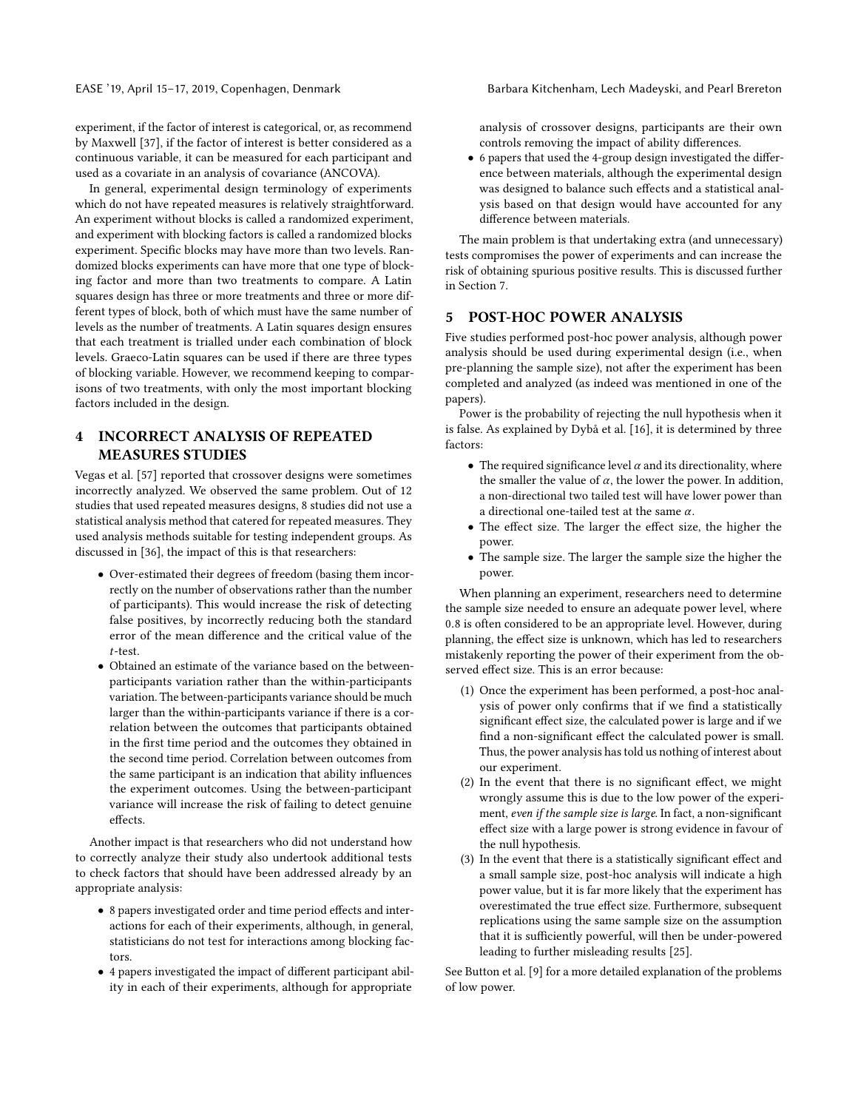experiment, if the factor of interest is categorical, or, as recommend by Maxwell [\[37\]](#page-8-16), if the factor of interest is better considered as a continuous variable, it can be measured for each participant and used as a covariate in an analysis of covariance (ANCOVA).

In general, experimental design terminology of experiments which do not have repeated measures is relatively straightforward. An experiment without blocks is called a randomized experiment, and experiment with blocking factors is called a randomized blocks experiment. Specific blocks may have more than two levels. Randomized blocks experiments can have more that one type of blocking factor and more than two treatments to compare. A Latin squares design has three or more treatments and three or more different types of block, both of which must have the same number of levels as the number of treatments. A Latin squares design ensures that each treatment is trialled under each combination of block levels. Graeco-Latin squares can be used if there are three types of blocking variable. However, we recommend keeping to comparisons of two treatments, with only the most important blocking factors included in the design.

# 4 INCORRECT ANALYSIS OF REPEATED MEASURES STUDIES

Vegas et al. [\[57\]](#page-8-6) reported that crossover designs were sometimes incorrectly analyzed. We observed the same problem. Out of 12 studies that used repeated measures designs, 8 studies did not use a statistical analysis method that catered for repeated measures. They used analysis methods suitable for testing independent groups. As discussed in [\[36\]](#page-8-19), the impact of this is that researchers:

- Over-estimated their degrees of freedom (basing them incorrectly on the number of observations rather than the number of participants). This would increase the risk of detecting false positives, by incorrectly reducing both the standard error of the mean difference and the critical value of the t-test. • Obtained an estimate of the variance based on the between-
- participants variation rather than the within-participants variation. The between-participants variance should be much larger than the within-participants variance if there is a correlation between the outcomes that participants obtained in the first time period and the outcomes they obtained in the second time period. Correlation between outcomes from the same participant is an indication that ability influences the experiment outcomes. Using the between-participant variance will increase the risk of failing to detect genuine effects.

Another impact is that researchers who did not understand how to correctly analyze their study also undertook additional tests to check factors that should have been addressed already by an appropriate analysis:

- 8 papers investigated order and time period effects and interactions for each of their experiments, although, in general, statisticians do not test for interactions among blocking factors.
- 4 papers investigated the impact of different participant ability in each of their experiments, although for appropriate

analysis of crossover designs, participants are their own controls removing the impact of ability differences.

• 6 papers that used the 4-group design investigated the difference between materials, although the experimental design was designed to balance such effects and a statistical analysis based on that design would have accounted for any difference between materials.

The main problem is that undertaking extra (and unnecessary) tests compromises the power of experiments and can increase the risk of obtaining spurious positive results. This is discussed further in Section [7.](#page-6-1)

### 5 POST-HOC POWER ANALYSIS

Five studies performed post-hoc power analysis, although power analysis should be used during experimental design (i.e., when pre-planning the sample size), not after the experiment has been completed and analyzed (as indeed was mentioned in one of the papers).

Power is the probability of rejecting the null hypothesis when it is false. As explained by Dybå et al. [\[16\]](#page-8-20), it is determined by three factors:

- The required significance level  $\alpha$  and its directionality, where the smaller the value of  $\alpha$ , the lower the power. In addition, a non-directional two tailed test will have lower power than a directional one-tailed test at the same  $\alpha$ .
- The effect size. The larger the effect size, the higher the power.
- The sample size. The larger the sample size the higher the power.

When planning an experiment, researchers need to determine the sample size needed to ensure an adequate power level, where <sup>0</sup>.<sup>8</sup> is often considered to be an appropriate level. However, during planning, the effect size is unknown, which has led to researchers mistakenly reporting the power of their experiment from the observed effect size. This is an error because:

- (1) Once the experiment has been performed, a post-hoc analysis of power only confirms that if we find a statistically significant effect size, the calculated power is large and if we find a non-significant effect the calculated power is small. Thus, the power analysis has told us nothing of interest about our experiment.
- (2) In the event that there is no significant effect, we might wrongly assume this is due to the low power of the experiment, even if the sample size is large. In fact, a non-significant effect size with a large power is strong evidence in favour of the null hypothesis.
- (3) In the event that there is a statistically significant effect and a small sample size, post-hoc analysis will indicate a high power value, but it is far more likely that the experiment has overestimated the true effect size. Furthermore, subsequent replications using the same sample size on the assumption that it is sufficiently powerful, will then be under-powered leading to further misleading results [\[25\]](#page-8-21).

See Button et al. [\[9\]](#page-8-22) for a more detailed explanation of the problems of low power.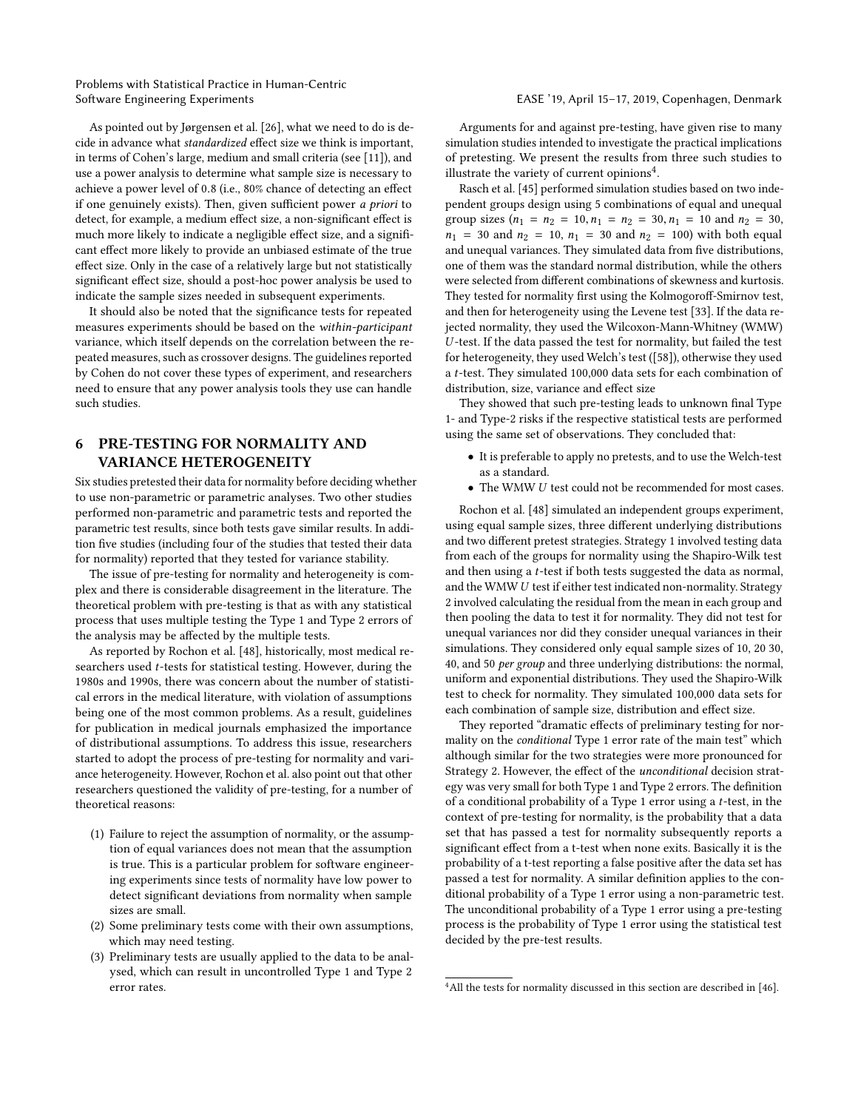As pointed out by Jørgensen et al. [\[26\]](#page-8-23), what we need to do is decide in advance what standardized effect size we think is important, in terms of Cohen's large, medium and small criteria (see [\[11\]](#page-8-24)), and use a power analysis to determine what sample size is necessary to achieve a power level of <sup>0</sup>.<sup>8</sup> (i.e., 80% chance of detecting an effect if one genuinely exists). Then, given sufficient power a priori to detect, for example, a medium effect size, a non-significant effect is much more likely to indicate a negligible effect size, and a significant effect more likely to provide an unbiased estimate of the true effect size. Only in the case of a relatively large but not statistically significant effect size, should a post-hoc power analysis be used to indicate the sample sizes needed in subsequent experiments.

It should also be noted that the significance tests for repeated measures experiments should be based on the within-participant variance, which itself depends on the correlation between the repeated measures, such as crossover designs. The guidelines reported by Cohen do not cover these types of experiment, and researchers need to ensure that any power analysis tools they use can handle such studies.

#### 6 PRE-TESTING FOR NORMALITY AND VARIANCE HETEROGENEITY

Six studies pretested their data for normality before deciding whether to use non-parametric or parametric analyses. Two other studies performed non-parametric and parametric tests and reported the parametric test results, since both tests gave similar results. In addition five studies (including four of the studies that tested their data for normality) reported that they tested for variance stability.

The issue of pre-testing for normality and heterogeneity is complex and there is considerable disagreement in the literature. The theoretical problem with pre-testing is that as with any statistical process that uses multiple testing the Type 1 and Type 2 errors of the analysis may be affected by the multiple tests.

As reported by Rochon et al. [\[48\]](#page-8-25), historically, most medical researchers used t-tests for statistical testing. However, during the 1980s and 1990s, there was concern about the number of statistical errors in the medical literature, with violation of assumptions being one of the most common problems. As a result, guidelines for publication in medical journals emphasized the importance of distributional assumptions. To address this issue, researchers started to adopt the process of pre-testing for normality and variance heterogeneity. However, Rochon et al. also point out that other researchers questioned the validity of pre-testing, for a number of theoretical reasons:

- (1) Failure to reject the assumption of normality, or the assumption of equal variances does not mean that the assumption is true. This is a particular problem for software engineering experiments since tests of normality have low power to detect significant deviations from normality when sample sizes are small.
- (2) Some preliminary tests come with their own assumptions, which may need testing.
- (3) Preliminary tests are usually applied to the data to be analysed, which can result in uncontrolled Type 1 and Type 2 error rates.

Arguments for and against pre-testing, have given rise to many simulation studies intended to investigate the practical implications of pretesting. We present the results from three such studies to illustrate the variety of current opinions<sup>[4](#page-4-0)</sup>.

Rasch et al. [\[45\]](#page-8-26) performed simulation studies based on two independent groups design using 5 combinations of equal and unequal group sizes  $(n_1 = n_2 = 10, n_1 = n_2 = 30, n_1 = 10$  and  $n_2 = 30$ ,  $n_1$  = 30 and  $n_2$  = 10,  $n_1$  = 30 and  $n_2$  = 100) with both equal and unequal variances. They simulated data from five distributions, one of them was the standard normal distribution, while the others were selected from different combinations of skewness and kurtosis. They tested for normality first using the Kolmogoroff-Smirnov test, and then for heterogeneity using the Levene test [\[33\]](#page-8-27). If the data rejected normality, they used the Wilcoxon-Mann-Whitney (WMW) U -test. If the data passed the test for normality, but failed the test for heterogeneity, they used Welch's test ([\[58\]](#page-8-28)), otherwise they used <sup>a</sup> t-test. They simulated 100,000 data sets for each combination of distribution, size, variance and effect size

They showed that such pre-testing leads to unknown final Type 1- and Type-2 risks if the respective statistical tests are performed using the same set of observations. They concluded that:

- It is preferable to apply no pretests, and to use the Welch-test as a standard.
- The WMW <sup>U</sup> test could not be recommended for most cases.

Rochon et al. [\[48\]](#page-8-25) simulated an independent groups experiment, using equal sample sizes, three different underlying distributions and two different pretest strategies. Strategy 1 involved testing data from each of the groups for normality using the Shapiro-Wilk test and then using a t-test if both tests suggested the data as normal, and the WMW U test if either test indicated non-normality. Strategy 2 involved calculating the residual from the mean in each group and then pooling the data to test it for normality. They did not test for unequal variances nor did they consider unequal variances in their simulations. They considered only equal sample sizes of 10, 20 30, 40, and 50 per group and three underlying distributions: the normal, uniform and exponential distributions. They used the Shapiro-Wilk test to check for normality. They simulated 100,000 data sets for each combination of sample size, distribution and effect size.

They reported "dramatic effects of preliminary testing for normality on the conditional Type 1 error rate of the main test" which although similar for the two strategies were more pronounced for Strategy 2. However, the effect of the unconditional decision strategy was very small for both Type 1 and Type 2 errors. The definition of a conditional probability of a Type 1 error using a  $t$ -test, in the context of pre-testing for normality, is the probability that a data set that has passed a test for normality subsequently reports a significant effect from a t-test when none exits. Basically it is the probability of a t-test reporting a false positive after the data set has passed a test for normality. A similar definition applies to the conditional probability of a Type 1 error using a non-parametric test. The unconditional probability of a Type 1 error using a pre-testing process is the probability of Type 1 error using the statistical test decided by the pre-test results.

<span id="page-4-0"></span><sup>&</sup>lt;sup>4</sup> All the tests for normality discussed in this section are described in [\[46\]](#page-8-29).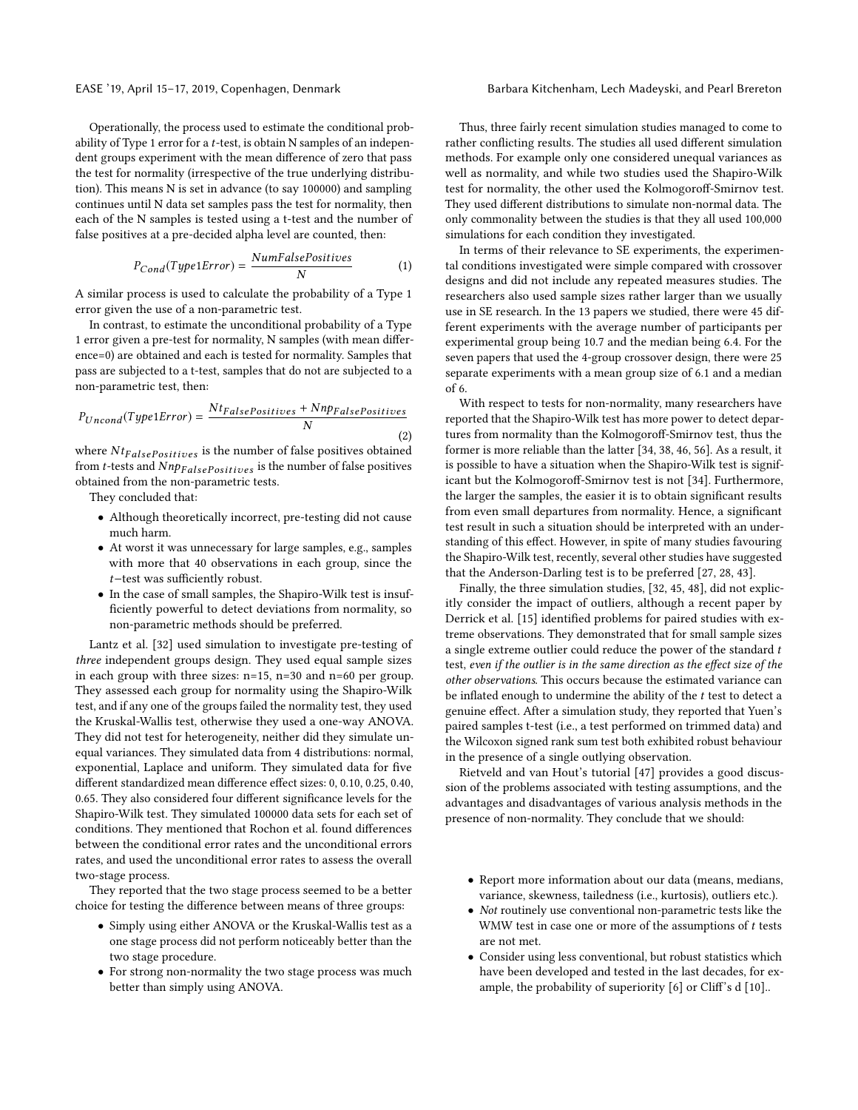Operationally, the process used to estimate the conditional probability of Type 1 error for a <sup>t</sup>-test, is obtain N samples of an independent groups experiment with the mean difference of zero that pass the test for normality (irrespective of the true underlying distribution). This means N is set in advance (to say 100000) and sampling continues until N data set samples pass the test for normality, then each of the N samples is tested using a t-test and the number of false positives at a pre-decided alpha level are counted, then:

$$
P_{Cond}(Type1Error) = \frac{NumFalsePositives}{N}
$$
 (1)

N A similar process is used to calculate the probability of a Type 1 error given the use of a non-parametric test.

In contrast, to estimate the unconditional probability of a Type 1 error given a pre-test for normality, N samples (with mean difference=0) are obtained and each is tested for normality. Samples that pass are subjected to a t-test, samples that do not are subjected to a non-parametric test, then:

$$
P_{Uncond}(Type1Error) = \frac{NtFalsePositives + NnpFalsePositives}{N}
$$
(2)

where  $N t_{False Positives}$  is the number of false positives obtained from *t*-tests and  $Nnp_{False Positives}$  is the number of false positives obtained from the non-parametric tests.

They concluded that:

- Although theoretically incorrect, pre-testing did not cause much harm.
- At worst it was unnecessary for large samples, e.g., samples with more that 40 observations in each group, since the t−test was sufficiently robust.
- In the case of small samples, the Shapiro-Wilk test is insufficiently powerful to detect deviations from normality, so non-parametric methods should be preferred.

Lantz et al. [\[32\]](#page-8-30) used simulation to investigate pre-testing of three independent groups design. They used equal sample sizes in each group with three sizes: n=15, n=30 and n=60 per group. They assessed each group for normality using the Shapiro-Wilk test, and if any one of the groups failed the normality test, they used the Kruskal-Wallis test, otherwise they used a one-way ANOVA. They did not test for heterogeneity, neither did they simulate unequal variances. They simulated data from 4 distributions: normal, exponential, Laplace and uniform. They simulated data for five different standardized mean difference effect sizes: 0, 0.10, 0.25, 0.40, 0.65. They also considered four different significance levels for the Shapiro-Wilk test. They simulated 100000 data sets for each set of conditions. They mentioned that Rochon et al. found differences between the conditional error rates and the unconditional errors rates, and used the unconditional error rates to assess the overall two-stage process.

They reported that the two stage process seemed to be a better choice for testing the difference between means of three groups:

- Simply using either ANOVA or the Kruskal-Wallis test as a one stage process did not perform noticeably better than the two stage procedure.
- For strong non-normality the two stage process was much better than simply using ANOVA.

Thus, three fairly recent simulation studies managed to come to rather conflicting results. The studies all used different simulation methods. For example only one considered unequal variances as well as normality, and while two studies used the Shapiro-Wilk test for normality, the other used the Kolmogoroff-Smirnov test. They used different distributions to simulate non-normal data. The only commonality between the studies is that they all used 100,000 simulations for each condition they investigated.

In terms of their relevance to SE experiments, the experimental conditions investigated were simple compared with crossover designs and did not include any repeated measures studies. The researchers also used sample sizes rather larger than we usually use in SE research. In the 13 papers we studied, there were 45 different experiments with the average number of participants per experimental group being 10.7 and the median being 6.4. For the seven papers that used the 4-group crossover design, there were 25 separate experiments with a mean group size of 6.1 and a median of 6.

With respect to tests for non-normality, many researchers have reported that the Shapiro-Wilk test has more power to detect departures from normality than the Kolmogoroff-Smirnov test, thus the former is more reliable than the latter [\[34,](#page-8-31) [38,](#page-8-32) [46,](#page-8-29) [56\]](#page-8-33). As a result, it is possible to have a situation when the Shapiro-Wilk test is significant but the Kolmogoroff-Smirnov test is not [\[34\]](#page-8-31). Furthermore, the larger the samples, the easier it is to obtain significant results from even small departures from normality. Hence, a significant test result in such a situation should be interpreted with an understanding of this effect. However, in spite of many studies favouring the Shapiro-Wilk test, recently, several other studies have suggested that the Anderson-Darling test is to be preferred [\[27,](#page-8-34) [28,](#page-8-35) [43\]](#page-8-36).

Finally, the three simulation studies, [\[32,](#page-8-30) [45,](#page-8-26) [48\]](#page-8-25), did not explicitly consider the impact of outliers, although a recent paper by Derrick et al. [\[15\]](#page-8-37) identified problems for paired studies with extreme observations. They demonstrated that for small sample sizes a single extreme outlier could reduce the power of the standard t test, even if the outlier is in the same direction as the effect size of the other observations. This occurs because the estimated variance can be inflated enough to undermine the ability of the  $t$  test to detect a genuine effect. After a simulation study, they reported that Yuen's paired samples t-test (i.e., a test performed on trimmed data) and the Wilcoxon signed rank sum test both exhibited robust behaviour in the presence of a single outlying observation.

Rietveld and van Hout's tutorial [\[47\]](#page-8-38) provides a good discussion of the problems associated with testing assumptions, and the advantages and disadvantages of various analysis methods in the presence of non-normality. They conclude that we should:

- Report more information about our data (means, medians, variance, skewness, tailedness (i.e., kurtosis), outliers etc.).
- Not routinely use conventional non-parametric tests like the WMW test in case one or more of the assumptions of  $t$  tests are not met.
- Consider using less conventional, but robust statistics which have been developed and tested in the last decades, for example, the probability of superiority [\[6\]](#page-7-6) or Cliff's d [\[10\]](#page-8-39)..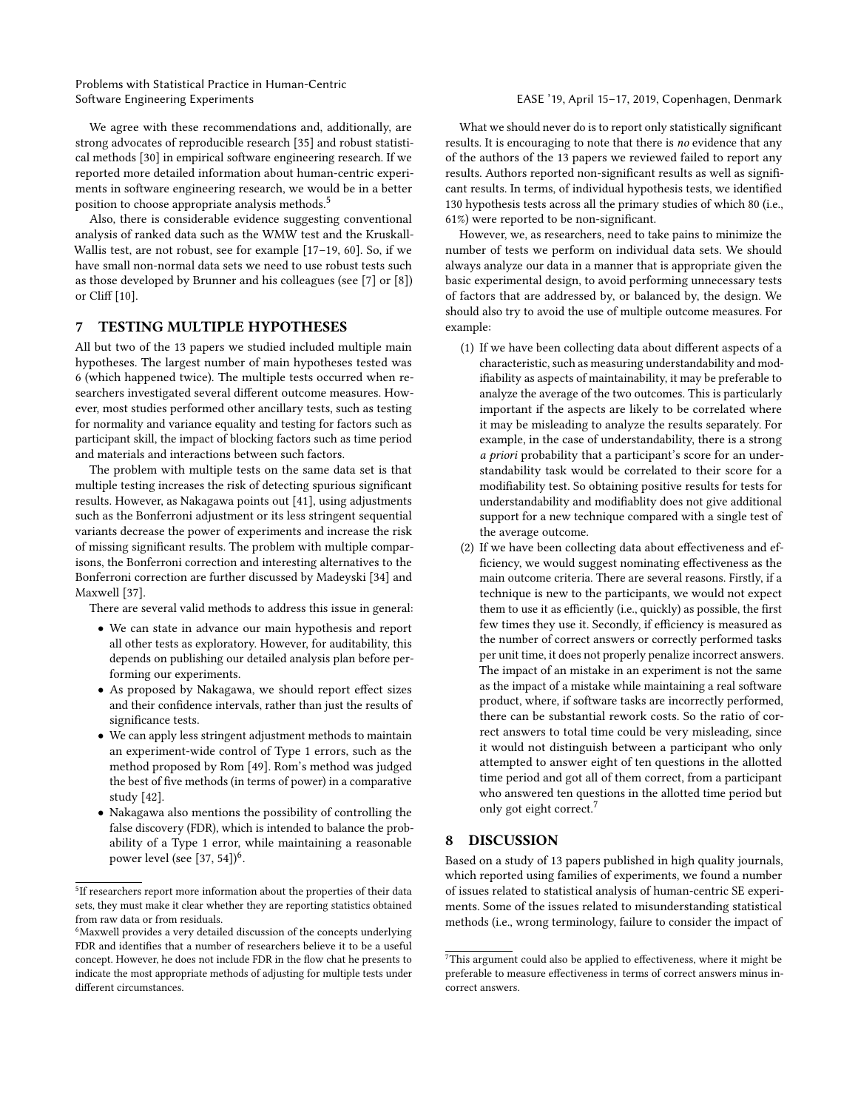We agree with these recommendations and, additionally, are strong advocates of reproducible research [\[35\]](#page-8-40) and robust statistical methods [\[30\]](#page-8-41) in empirical software engineering research. If we reported more detailed information about human-centric experiments in software engineering research, we would be in a better position to choose appropriate analysis methods.<sup>[5](#page-6-2)</sup>

Also, there is considerable evidence suggesting conventional analysis of ranked data such as the WMW test and the Kruskall-Wallis test, are not robust, see for example [\[17–](#page-8-42)[19,](#page-8-43) [60\]](#page-9-1). So, if we have small non-normal data sets we need to use robust tests such as those developed by Brunner and his colleagues (see [\[7\]](#page-7-7) or [\[8\]](#page-7-8)) or Cliff [\[10\]](#page-8-39).

#### <span id="page-6-1"></span>7 TESTING MULTIPLE HYPOTHESES

All but two of the 13 papers we studied included multiple main hypotheses. The largest number of main hypotheses tested was 6 (which happened twice). The multiple tests occurred when researchers investigated several different outcome measures. However, most studies performed other ancillary tests, such as testing for normality and variance equality and testing for factors such as participant skill, the impact of blocking factors such as time period and materials and interactions between such factors.

The problem with multiple tests on the same data set is that multiple testing increases the risk of detecting spurious significant results. However, as Nakagawa points out [\[41\]](#page-8-44), using adjustments such as the Bonferroni adjustment or its less stringent sequential variants decrease the power of experiments and increase the risk of missing significant results. The problem with multiple comparisons, the Bonferroni correction and interesting alternatives to the Bonferroni correction are further discussed by Madeyski [\[34\]](#page-8-31) and Maxwell [\[37\]](#page-8-16).

There are several valid methods to address this issue in general:

- We can state in advance our main hypothesis and report all other tests as exploratory. However, for auditability, this depends on publishing our detailed analysis plan before performing our experiments.
- As proposed by Nakagawa, we should report effect sizes and their confidence intervals, rather than just the results of significance tests.
- We can apply less stringent adjustment methods to maintain an experiment-wide control of Type 1 errors, such as the method proposed by Rom [\[49\]](#page-8-45). Rom's method was judged the best of five methods (in terms of power) in a comparative study [\[42\]](#page-8-46).
- Nakagawa also mentions the possibility of controlling the false discovery (FDR), which is intended to balance the probability of a Type 1 error, while maintaining a reasonable power level (see  $[37, 54]$  $[37, 54]$ )<sup>[6](#page-6-3)</sup>.

What we should never do is to report only statistically significant results. It is encouraging to note that there is no evidence that any of the authors of the 13 papers we reviewed failed to report any results. Authors reported non-significant results as well as significant results. In terms, of individual hypothesis tests, we identified 130 hypothesis tests across all the primary studies of which 80 (i.e., 61%) were reported to be non-significant.

However, we, as researchers, need to take pains to minimize the number of tests we perform on individual data sets. We should always analyze our data in a manner that is appropriate given the basic experimental design, to avoid performing unnecessary tests of factors that are addressed by, or balanced by, the design. We should also try to avoid the use of multiple outcome measures. For example:

- (1) If we have been collecting data about different aspects of a characteristic, such as measuring understandability and modifiability as aspects of maintainability, it may be preferable to analyze the average of the two outcomes. This is particularly important if the aspects are likely to be correlated where it may be misleading to analyze the results separately. For example, in the case of understandability, there is a strong a priori probability that a participant's score for an understandability task would be correlated to their score for a modifiability test. So obtaining positive results for tests for understandability and modifiablity does not give additional support for a new technique compared with a single test of the average outcome.
- (2) If we have been collecting data about effectiveness and efficiency, we would suggest nominating effectiveness as the main outcome criteria. There are several reasons. Firstly, if a technique is new to the participants, we would not expect them to use it as efficiently (i.e., quickly) as possible, the first few times they use it. Secondly, if efficiency is measured as the number of correct answers or correctly performed tasks per unit time, it does not properly penalize incorrect answers. The impact of an mistake in an experiment is not the same as the impact of a mistake while maintaining a real software product, where, if software tasks are incorrectly performed, there can be substantial rework costs. So the ratio of correct answers to total time could be very misleading, since it would not distinguish between a participant who only attempted to answer eight of ten questions in the allotted time period and got all of them correct, from a participant who answered ten questions in the allotted time period but only got eight correct.<sup>[7](#page-6-4)</sup>

### <span id="page-6-0"></span>8 DISCUSSION

Based on a study of 13 papers published in high quality journals, which reported using families of experiments, we found a number of issues related to statistical analysis of human-centric SE experiments. Some of the issues related to misunderstanding statistical methods (i.e., wrong terminology, failure to consider the impact of

<span id="page-6-2"></span><sup>&</sup>lt;sup>5</sup>If researchers report more information about the properties of their data sets, they must make it clear whether they are reporting statistics obtained from raw data or from residuals.

<span id="page-6-3"></span><sup>6</sup>Maxwell provides a very detailed discussion of the concepts underlying FDR and identifies that a number of researchers believe it to be a useful concept. However, he does not include FDR in the flow chat he presents to indicate the most appropriate methods of adjusting for multiple tests under different circumstances.

<span id="page-6-4"></span> $7$  This argument could also be applied to effectiveness, where it might be preferable to measure effectiveness in terms of correct answers minus incorrect answers.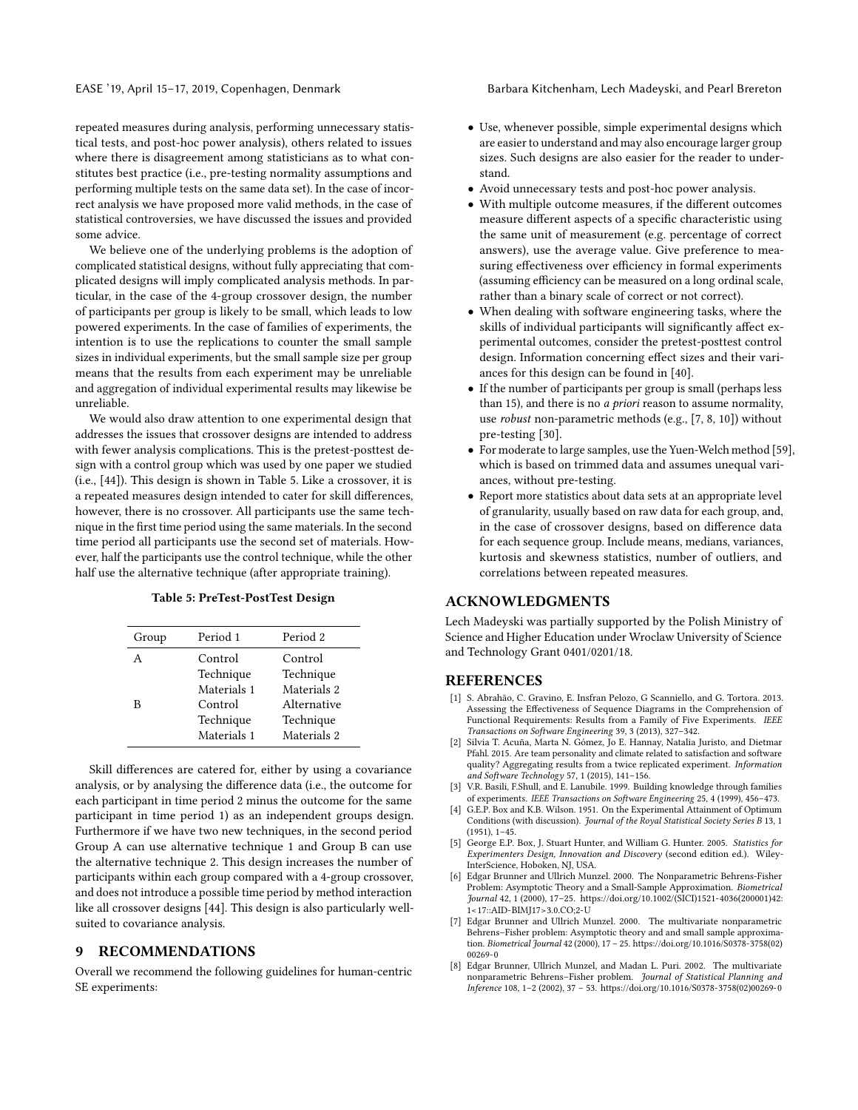EASE '19, April 15–17, 2019, Copenhagen, Denmark Barbara Kitchenham, Lech Madeyski, and Pearl Brereton

repeated measures during analysis, performing unnecessary statistical tests, and post-hoc power analysis), others related to issues where there is disagreement among statisticians as to what constitutes best practice (i.e., pre-testing normality assumptions and performing multiple tests on the same data set). In the case of incorrect analysis we have proposed more valid methods, in the case of statistical controversies, we have discussed the issues and provided some advice.

We believe one of the underlying problems is the adoption of complicated statistical designs, without fully appreciating that complicated designs will imply complicated analysis methods. In particular, in the case of the 4-group crossover design, the number of participants per group is likely to be small, which leads to low powered experiments. In the case of families of experiments, the intention is to use the replications to counter the small sample sizes in individual experiments, but the small sample size per group means that the results from each experiment may be unreliable and aggregation of individual experimental results may likewise be unreliable.

We would also draw attention to one experimental design that addresses the issues that crossover designs are intended to address with fewer analysis complications. This is the pretest-posttest design with a control group which was used by one paper we studied (i.e., [\[44\]](#page-8-3)). This design is shown in Table [5.](#page-7-9) Like a crossover, it is a repeated measures design intended to cater for skill differences, however, there is no crossover. All participants use the same technique in the first time period using the same materials. In the second time period all participants use the second set of materials. However, half the participants use the control technique, while the other half use the alternative technique (after appropriate training).

|  |  |  |  |  |  | Table 5: PreTest-PostTest Design |  |
|--|--|--|--|--|--|----------------------------------|--|
|--|--|--|--|--|--|----------------------------------|--|

<span id="page-7-9"></span>

| Group | Period 1    | Period 2    |  |
|-------|-------------|-------------|--|
|       | Control     | Control     |  |
|       | Technique   | Technique   |  |
|       | Materials 1 | Materials 2 |  |
| В     | Control     | Alternative |  |
|       | Technique   | Technique   |  |
|       | Materials 1 | Materials 2 |  |

Skill differences are catered for, either by using a covariance analysis, or by analysing the difference data (i.e., the outcome for each participant in time period 2 minus the outcome for the same participant in time period 1) as an independent groups design. Furthermore if we have two new techniques, in the second period Group A can use alternative technique 1 and Group B can use the alternative technique 2. This design increases the number of participants within each group compared with a 4-group crossover, and does not introduce a possible time period by method interaction like all crossover designs [\[44\]](#page-8-3). This design is also particularly wellsuited to covariance analysis.

# <span id="page-7-0"></span>9 RECOMMENDATIONS

Overall we recommend the following guidelines for human-centric SE experiments:

- Use, whenever possible, simple experimental designs which are easier to understand and may also encourage larger group sizes. Such designs are also easier for the reader to understand.
- Avoid unnecessary tests and post-hoc power analysis.
- With multiple outcome measures, if the different outcomes measure different aspects of a specific characteristic using the same unit of measurement (e.g. percentage of correct answers), use the average value. Give preference to measuring effectiveness over efficiency in formal experiments (assuming efficiency can be measured on a long ordinal scale, rather than a binary scale of correct or not correct).
- When dealing with software engineering tasks, where the skills of individual participants will significantly affect experimental outcomes, consider the pretest-posttest control design. Information concerning effect sizes and their variances for this design can be found in [\[40\]](#page-8-48).
- If the number of participants per group is small (perhaps less than 15), and there is no *a priori* reason to assume normality, use robust non-parametric methods (e.g., [\[7,](#page-7-7) [8,](#page-7-8) [10\]](#page-8-39)) without pre-testing [\[30\]](#page-8-41).
- For moderate to large samples, use the Yuen-Welch method [\[59\]](#page-9-2), which is based on trimmed data and assumes unequal variances, without pre-testing.
- Report more statistics about data sets at an appropriate level of granularity, usually based on raw data for each group, and, in the case of crossover designs, based on difference data for each sequence group. Include means, medians, variances, kurtosis and skewness statistics, number of outliers, and correlations between repeated measures.

## ACKNOWLEDGMENTS

Lech Madeyski was partially supported by the Polish Ministry of Science and Higher Education under Wroclaw University of Science and Technology Grant 0401/0201/18.

#### REFERENCES

- <span id="page-7-3"></span>[1] S. Abrahão, C. Gravino, E. Insfran Pelozo, G Scanniello, and G. Tortora. 2013. Assessing the Effectiveness of Sequence Diagrams in the Comprehension of Functional Requirements: Results from a Family of Five Experiments. IEEE Transactions on Software Engineering 39, 3 (2013), 327–342.
- <span id="page-7-2"></span>[2] Silvia T. Acuña, Marta N. Gómez, Jo E. Hannay, Natalia Juristo, and Dietmar Pfahl. 2015. Are team personality and climate related to satisfaction and software quality? Aggregating results from a twice replicated experiment. Information and Software Technology 57, 1 (2015), 141–156.
- <span id="page-7-1"></span>[3] V.R. Basili, F.Shull, and E. Lanubile. 1999. Building knowledge through families of experiments. IEEE Transactions on Software Engineering 25, 4 (1999), 456–473.
- <span id="page-7-5"></span>[4] G.E.P. Box and K.B. Wilson. 1951. On the Experimental Attainment of Optimum Conditions (with discussion). Journal of the Royal Statistical Society Series B 13, 1 (1951), 1–45.
- <span id="page-7-4"></span>[5] George E.P. Box, J. Stuart Hunter, and William G. Hunter. 2005. Statistics for Experimenters Design, Innovation and Discovery (second edition ed.). Wiley-InterScience, Hoboken, NJ, USA.
- <span id="page-7-6"></span>[6] Edgar Brunner and Ullrich Munzel. 2000. The Nonparametric Behrens-Fisher Problem: Asymptotic Theory and a Small-Sample Approximation. Biometrical Journal 42, 1 (2000), 17–25. [https://doi.org/10.1002/\(SICI\)1521-4036\(200001\)42:](https://doi.org/10.1002/(SICI)1521-4036(200001)42:1<17::AID-BIMJ17>3.0.CO;2-U) [1<17::AID-BIMJ17>3.0.CO;2-U](https://doi.org/10.1002/(SICI)1521-4036(200001)42:1<17::AID-BIMJ17>3.0.CO;2-U)
- <span id="page-7-7"></span>[7] Edgar Brunner and Ullrich Munzel. 2000. The multivariate nonparametric Behrens–Fisher problem: Asymptotic theory and and small sample approximation. Biometrical Journal 42 (2000), 17 – 25. [https://doi.org/10.1016/S0378-3758\(02\)](https://doi.org/10.1016/S0378-3758(02)00269-0) [00269-0](https://doi.org/10.1016/S0378-3758(02)00269-0)
- <span id="page-7-8"></span>[8] Edgar Brunner, Ullrich Munzel, and Madan L. Puri. 2002. The multivariate nonparametric Behrens–Fisher problem. Journal of Statistical Planning and Inference 108, 1–2 (2002), 37 – 53. [https://doi.org/10.1016/S0378-3758\(02\)00269-0](https://doi.org/10.1016/S0378-3758(02)00269-0)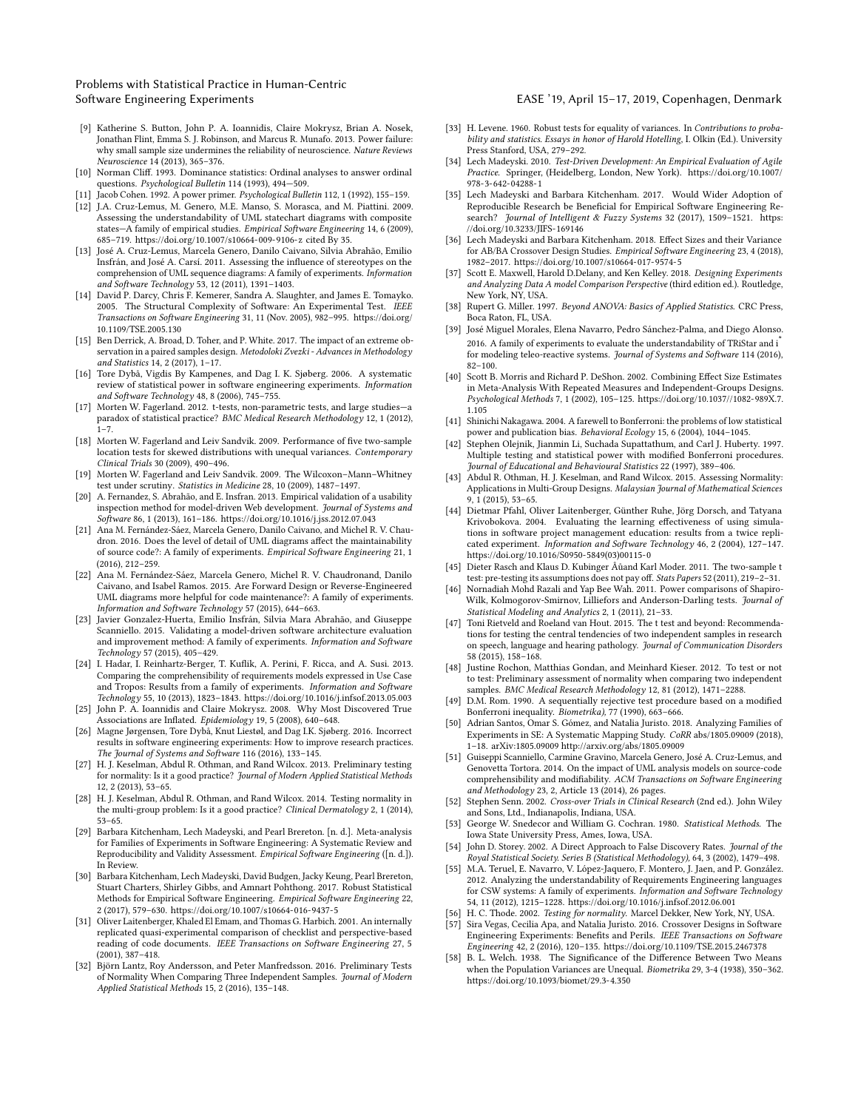- <span id="page-8-22"></span>[9] Katherine S. Button, John P. A. Ioannidis, Claire Mokrysz, Brian A. Nosek, Jonathan Flint, Emma S. J. Robinson, and Marcus R. Munafo. 2013. Power failure: why small sample size undermines the reliability of neuroscience. Nature Reviews Neuroscience 14 (2013), 365–376.
- <span id="page-8-39"></span>[10] Norman Cliff. 1993. Dominance statistics: Ordinal analyses to answer ordinal questions. Psychological Bulletin 114 (1993), 494—509.
- <span id="page-8-24"></span><span id="page-8-9"></span>[11] Jacob Cohen. 1992. A power primer. Psychological Bulletin 112, 1 (1992), 155–159. [12] J.A. Cruz-Lemus, M. Genero, M.E. Manso, S. Morasca, and M. Piattini. 2009.
- Assessing the understandability of UML statechart diagrams with composite states—A family of empirical studies. Empirical Software Engineering 14, 6 (2009), 685–719.<https://doi.org/10.1007/s10664-009-9106-z> cited By 35.
- <span id="page-8-15"></span>[13] José A. Cruz-Lemus, Marcela Genero, Danilo Caivano, Silvia Abrahão, Emilio Insfrán, and José A. Carsí. 2011. Assessing the influence of stereotypes on the comprehension of UML sequence diagrams: A family of experiments. Information and Software Technology 53, 12 (2011), 1391–1403.
- <span id="page-8-18"></span>[14] David P. Darcy, Chris F. Kemerer, Sandra A. Slaughter, and James E. Tomayko. 2005. The Structural Complexity of Software: An Experimental Test. IEEE Transactions on Software Engineering 31, 11 (Nov. 2005), 982–995. [https://doi.org/](https://doi.org/10.1109/TSE.2005.130) [10.1109/TSE.2005.130](https://doi.org/10.1109/TSE.2005.130)
- <span id="page-8-37"></span>[15] Ben Derrick, A. Broad, D. Toher, and P. White. 2017. The impact of an extreme observation in a paired samples design. Metodoloki Zvezki - Advances in Methodology and Statistics 14, 2 (2017), 1–17.
- <span id="page-8-20"></span>[16] Tore Dybå, Vigdis By Kampenes, and Dag I. K. Sjøberg. 2006. A systematic review of statistical power in software engineering experiments. Information and Software Technology 48, 8 (2006), 745–755.
- <span id="page-8-42"></span>[17] Morten W. Fagerland. 2012. t-tests, non-parametric tests, and large studies—a paradox of statistical practice? BMC Medical Research Methodology 12, 1 (2012),  $1 - 7$
- [18] Morten W. Fagerland and Leiv Sandvik. 2009. Performance of five two-sample location tests for skewed distributions with unequal variances. Contemporary Clinical Trials 30 (2009), 490–496.
- <span id="page-8-43"></span>[19] Morten W. Fagerland and Leiv Sandvik. 2009. The Wilcoxon–Mann–Whitney test under scrutiny. Statistics in Medicine 28, 10 (2009), 1487–1497.
- <span id="page-8-10"></span>[20] A. Fernandez, S. Abrahão, and E. Insfran. 2013. Empirical validation of a usability inspection method for model-driven Web development. Journal of Systems and Software 86, 1 (2013), 161–186.<https://doi.org/10.1016/j.jss.2012.07.043>
- <span id="page-8-11"></span>[21] Ana M. Fernández-Sáez, Marcela Genero, Danilo Caivano, and Michel R. V. Chaudron. 2016. Does the level of detail of UML diagrams affect the maintainability of source code?: A family of experiments. Empirical Software Engineering 21, 1 (2016), 212–259.
- <span id="page-8-5"></span>[22] Ana M. Fernández-Sáez, Marcela Genero, Michel R. V. Chaudronand, Danilo Caivano, and Isabel Ramos. 2015. Are Forward Design or Reverse-Engineered UML diagrams more helpful for code maintenance?: A family of experiments. Information and Software Technology 57 (2015), 644–663.
- <span id="page-8-14"></span>[23] Javier Gonzalez-Huerta, Emilio Insfrán, Silvia Mara Abrahão, and Giuseppe Scanniello. 2015. Validating a model-driven software architecture evaluation and improvement method: A family of experiments. Information and Software Technology 57 (2015), 405–429.
- <span id="page-8-12"></span>[24] I. Hadar, I. Reinhartz-Berger, T. Kuflik, A. Perini, F. Ricca, and A. Susi. 2013. Comparing the comprehensibility of requirements models expressed in Use Case and Tropos: Results from a family of experiments. Information and Software
- <span id="page-8-21"></span>Technology 55, 10 (2013), 1823–1843.<https://doi.org/10.1016/j.infsof.2013.05.003> [25] John P. A. Ioannidis and Claire Mokrysz. 2008. Why Most Discovered True Associations are Inflated. Epidemiology 19, 5 (2008), 640–648.
- <span id="page-8-23"></span>[26] Magne Jørgensen, Tore Dybå, Knut Liestøl, and Dag I.K. Sjøberg. 2016. Incorrect results in software engineering experiments: How to improve research practices. The Journal of Systems and Software 116 (2016), 133–145.
- <span id="page-8-34"></span>[27] H. J. Keselman, Abdul R. Othman, and Rand Wilcox. 2013. Preliminary testing for normality: Is it a good practice? Journal of Modern Applied Statistical Methods 12, 2 (2013), 53–65.
- <span id="page-8-35"></span>[28] H. J. Keselman, Abdul R. Othman, and Rand Wilcox. 2014. Testing normality in the multi-group problem: Is it a good practice? Clinical Dermatology 2, 1 (2014),
- <span id="page-8-0"></span>53–65. [29] Barbara Kitchenham, Lech Madeyski, and Pearl Brereton. [n. d.]. Meta-analysis for Families of Experiments in Software Engineering: A Systematic Review and Reproducibility and Validity Assessment. Empirical Software Engineering ([n. d.]). In Review.
- <span id="page-8-41"></span>[30] Barbara Kitchenham, Lech Madeyski, David Budgen, Jacky Keung, Pearl Brereton, Stuart Charters, Shirley Gibbs, and Amnart Pohthong. 2017. Robust Statistical Methods for Empirical Software Engineering. Empirical Software Engineering 22, 2 (2017), 579–630.<https://doi.org/10.1007/s10664-016-9437-5>
- <span id="page-8-2"></span>[31] Oliver Laitenberger, Khaled El Emam, and Thomas G. Harbich. 2001. An internally replicated quasi-experimental comparison of checklist and perspective-based reading of code documents. IEEE Transactions on Software Engineering 27, 5 (2001), 387–418.
- <span id="page-8-30"></span>[32] Björn Lantz, Roy Andersson, and Peter Manfredsson. 2016. Preliminary Tests of Normality When Comparing Three Independent Samples. Journal of Modern Applied Statistical Methods 15, 2 (2016), 135–148.
- <span id="page-8-27"></span>[33] H. Levene. 1960. Robust tests for equality of variances. In Contributions to probability and statistics. Essays in honor of Harold Hotelling, I. Olkin (Ed.). University Press Stanford, USA, 279–292.
- <span id="page-8-31"></span>[34] Lech Madeyski. 2010. Test-Driven Development: An Empirical Evaluation of Agile Practice. Springer, (Heidelberg, London, New York). [https://doi.org/10.1007/](https://doi.org/10.1007/978-3-642-04288-1) [978-3-642-04288-1](https://doi.org/10.1007/978-3-642-04288-1)
- <span id="page-8-40"></span>[35] Lech Madeyski and Barbara Kitchenham. 2017. Would Wider Adoption of Reproducible Research be Beneficial for Empirical Software Engineering Research? Journal of Intelligent & Fuzzy Systems 32 (2017), 1509–1521. [https:](https://doi.org/10.3233/JIFS-169146) [//doi.org/10.3233/JIFS-169146](https://doi.org/10.3233/JIFS-169146)
- <span id="page-8-19"></span>[36] Lech Madeyski and Barbara Kitchenham. 2018. Effect Sizes and their Variance for AB/BA Crossover Design Studies. Empirical Software Engineering 23, 4 (2018), 1982–2017.<https://doi.org/10.1007/s10664-017-9574-5>
- <span id="page-8-16"></span>[37] Scott E. Maxwell, Harold D.Delany, and Ken Kelley. 2018. Designing Experiments and Analyzing Data A model Comparison Perspective (third edition ed.). Routledge, New York, NY, USA.
- <span id="page-8-32"></span>[38] Rupert G. Miller. 1997. Beyond ANOVA: Basics of Applied Statistics. CRC Press, Boca Raton, FL, USA.
- <span id="page-8-4"></span>[39] José Miguel Morales, Elena Navarro, Pedro Sánchez-Palma, and Diego Alonso. 2016. A family of experiments to evaluate the understandability of TRiStar and i for modeling teleo-reactive systems. Journal of Systems and Software 114 (2016), 82–100.
- <span id="page-8-48"></span>[40] Scott B. Morris and Richard P. DeShon. 2002. Combining Effect Size Estimates in Meta-Analysis With Repeated Measures and Independent-Groups Designs. Psychological Methods 7, 1 (2002), 105–125. [https://doi.org/10.1037//1082-989X.7.](https://doi.org/10.1037//1082-989X.7.1.105) [1.105](https://doi.org/10.1037//1082-989X.7.1.105)
- <span id="page-8-44"></span>[41] Shinichi Nakagawa. 2004. A farewell to Bonferroni: the problems of low statistical power and publication bias. Behavioral Ecology 15, 6 (2004), 1044–1045.
- <span id="page-8-46"></span>[42] Stephen Olejnik, Jianmin Li, Suchada Supattathum, and Carl J. Huberty. 1997. Multiple testing and statistical power with modified Bonferroni procedures. Journal of Educational and Behavioural Statistics 22 (1997), 389–406.
- <span id="page-8-36"></span>[43] Abdul R. Othman, H. J. Keselman, and Rand Wilcox. 2015. Assessing Normality: Applications in Multi-Group Designs. Malaysian Journal of Mathematical Sciences  $9.1(2015), 53-65.$
- <span id="page-8-3"></span>[44] Dietmar Pfahl, Oliver Laitenberger, Günther Ruhe, Jörg Dorsch, and Tatyana Krivobokova. 2004. Evaluating the learning effectiveness of using simulations in software project management education: results from a twice replicated experiment. Information and Software Technology 46, 2 (2004), 127–147. [https://doi.org/10.1016/S0950-5849\(03\)00115-0](https://doi.org/10.1016/S0950-5849(03)00115-0)
- <span id="page-8-26"></span>[45] Dieter Rasch and Klaus D. Kubinger Âůand Karl Moder. 2011. The two-sample t test: pre-testing its assumptions does not pay off. Stats Papers 52 (2011), 219–2–31.
- <span id="page-8-29"></span>[46] Nornadiah Mohd Razali and Yap Bee Wah. 2011. Power comparisons of Shapiro-Wilk, Kolmogorov-Smirnov, Lilliefors and Anderson-Darling tests. Journal of Statistical Modeling and Analytics 2, 1 (2011), 21–33.
- <span id="page-8-38"></span>[47] Toni Rietveld and Roeland van Hout. 2015. The t test and beyond: Recommendations for testing the central tendencies of two independent samples in research on speech, language and hearing pathology. Journal of Communication Disorders 58 (2015), 158–168.
- <span id="page-8-25"></span>[48] Justine Rochon, Matthias Gondan, and Meinhard Kieser, 2012. To test or not to test: Preliminary assessment of normality when comparing two independent samples. BMC Medical Research Methodology 12, 81 (2012), 1471–2288.
- <span id="page-8-45"></span>[49] D.M. Rom. 1990. A sequentially rejective test procedure based on a modified Bonferroni inequality. Biometrika), 77 (1990), 663–666.
- <span id="page-8-1"></span>[50] Adrian Santos, Omar S. Gómez, and Natalia Juristo. 2018. Analyzing Families of Experiments in SE: A Systematic Mapping Study. CoRR abs/1805.09009 (2018), 1–18. arXiv[:1805.09009 http://arxiv.org/abs/1805.09009](http://arxiv.org/abs/1805.09009)
- <span id="page-8-8"></span>[51] Guiseppi Scanniello, Carmine Gravino, Marcela Genero, José A. Cruz-Lemus, and Genovetta Tortora. 2014. On the impact of UML analysis models on source-code comprehensibility and modifiability. ACM Transactions on Software Engineering and Methodology 23, 2, Article 13 (2014), 26 pages.
- <span id="page-8-7"></span>[52] Stephen Senn. 2002. Cross-over Trials in Clinical Research (2nd ed.). John Wiley and Sons, Ltd., Indianapolis, Indiana, USA.
- <span id="page-8-17"></span>[53] George W. Snedecor and William G. Cochran. 1980. Statistical Methods. The Iowa State University Press, Ames, Iowa, USA.
- <span id="page-8-47"></span>[54] John D. Storey. 2002. A Direct Approach to False Discovery Rates. Journal of the Royal Statistical Society. Series B (Statistical Methodology), 64, 3 (2002), 1479–498.
- <span id="page-8-13"></span>[55] M.A. Teruel, E. Navarro, V. López-Jaquero, F. Montero, J. Jaen, and P. González. 2012. Analyzing the understandability of Requirements Engineering languages for CSW systems: A family of experiments. Information and Software Technology 54, 11 (2012), 1215–1228.<https://doi.org/10.1016/j.infsof.2012.06.001>
- <span id="page-8-33"></span>[56] H. C. Thode. 2002. Testing for normality. Marcel Dekker, New York, NY, USA.
- <span id="page-8-6"></span>[57] Sira Vegas, Cecilia Apa, and Natalia Juristo. 2016. Crossover Designs in Software Engineering Experiments: Benefits and Perils. IEEE Transactions on Software Engineering 42, 2 (2016), 120–135.<https://doi.org/10.1109/TSE.2015.2467378>
- <span id="page-8-28"></span>[58] B. L. Welch. 1938. The Significance of the Difference Between Two Means when the Population Variances are Unequal. Biometrika 29, 3-4 (1938), 350–362. <https://doi.org/10.1093/biomet/29.3-4.350>